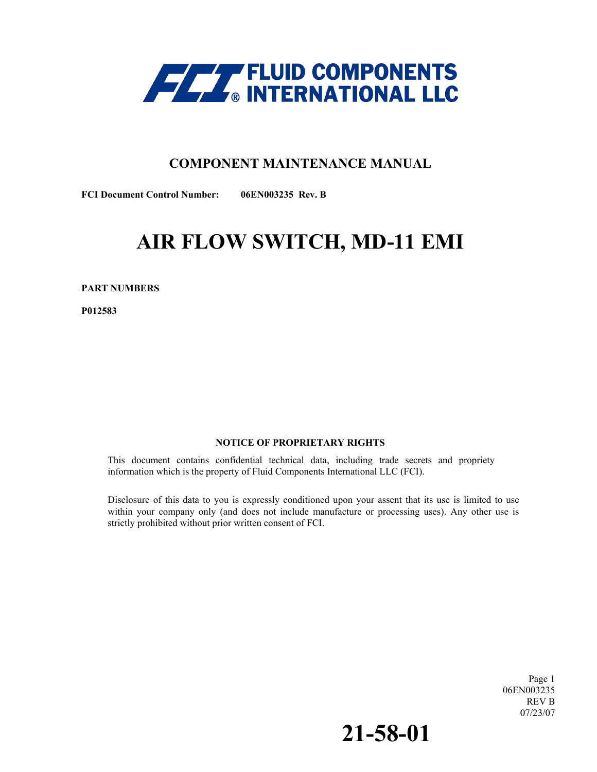

## **COMPONENT MAINTENANCE MANUAL**

**FCI Document Control Number: 06EN003235 Rev. B** 

# **AIR FLOW SWITCH, MD-11 EMI**

**PART NUMBERS** 

**P012583** 

#### **NOTICE OF PROPRIETARY RIGHTS**

This document contains confidential technical data, including trade secrets and propriety information which is the property of Fluid Components International LLC (FCI).

 within your company only (and does not include manufacture or processing uses). Any other use is Disclosure of this data to you is expressly conditioned upon your assent that its use is limited to use strictly prohibited without prior written consent of FCI.

> Page 1 06EN003235 REV B 07/23/07

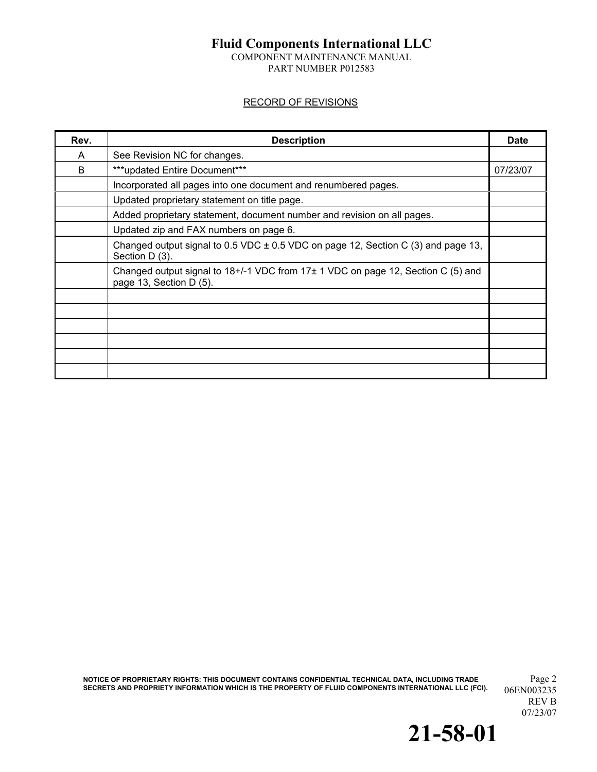COMPONENT MAINTENANCE MANUAL PART NUMBER P012583

#### RECORD OF REVISIONS

| Rev. | <b>Description</b>                                                                                          | <b>Date</b> |
|------|-------------------------------------------------------------------------------------------------------------|-------------|
| A    | See Revision NC for changes.                                                                                |             |
| B    | ***updated Entire Document***                                                                               |             |
|      | Incorporated all pages into one document and renumbered pages.                                              |             |
|      | Updated proprietary statement on title page.                                                                |             |
|      | Added proprietary statement, document number and revision on all pages.                                     |             |
|      | Updated zip and FAX numbers on page 6.                                                                      |             |
|      | Changed output signal to 0.5 VDC $\pm$ 0.5 VDC on page 12, Section C (3) and page 13,<br>Section D (3).     |             |
|      | Changed output signal to 18+/-1 VDC from 17± 1 VDC on page 12, Section C (5) and<br>page 13, Section D (5). |             |
|      |                                                                                                             |             |
|      |                                                                                                             |             |
|      |                                                                                                             |             |
|      |                                                                                                             |             |
|      |                                                                                                             |             |
|      |                                                                                                             |             |

**NOTICE OF PROPRIETARY RIGHTS: THIS DOCUMENT CONTAINS CONFIDENTIAL TECHNICAL DATA, INCLUDING TRADE** Page 2 SECRETS AND PROPRIETY INFORMATION WHICH IS THE PROPERTY OF FLUID COMPONENTS INTERNATIONAL LLC (FCI). 06EN003235

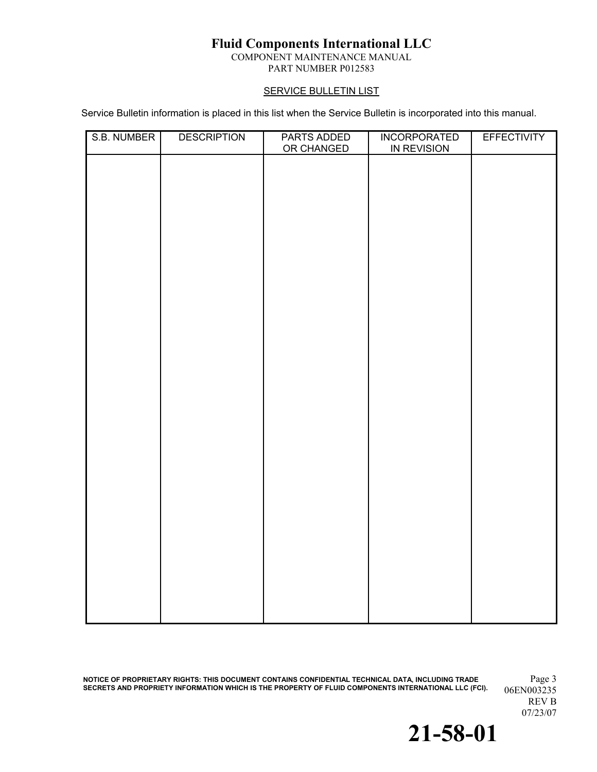COMPONENT MAINTENANCE MANUAL

## PART NUMBER P012583

#### **SERVICE BULLETIN LIST**

Service Bulletin information is placed in this list when the Service Bulletin is incorporated into this manual.

| S.B. NUMBER | <b>DESCRIPTION</b> | PARTS ADDED<br>OR CHANGED | <b>INCORPORATED</b><br>IN REVISION | <b>EFFECTIVITY</b> |
|-------------|--------------------|---------------------------|------------------------------------|--------------------|
|             |                    |                           |                                    |                    |
|             |                    |                           |                                    |                    |
|             |                    |                           |                                    |                    |
|             |                    |                           |                                    |                    |
|             |                    |                           |                                    |                    |
|             |                    |                           |                                    |                    |
|             |                    |                           |                                    |                    |
|             |                    |                           |                                    |                    |
|             |                    |                           |                                    |                    |
|             |                    |                           |                                    |                    |
|             |                    |                           |                                    |                    |
|             |                    |                           |                                    |                    |
|             |                    |                           |                                    |                    |
|             |                    |                           |                                    |                    |
|             |                    |                           |                                    |                    |
|             |                    |                           |                                    |                    |
|             |                    |                           |                                    |                    |
|             |                    |                           |                                    |                    |
|             |                    |                           |                                    |                    |
|             |                    |                           |                                    |                    |

**NOTICE OF PROPRIETARY RIGHTS: THIS DOCUMENT CONTAINS CONFIDENTIAL TECHNICAL DATA, INCLUDING TRADE** Page 3 **SECRETS AND PROPRIETY INFORMATION WHICH IS THE PROPERTY OF FLUID COMPONENTS INTERNATIONAL LLC (FCI).** 06EN003235

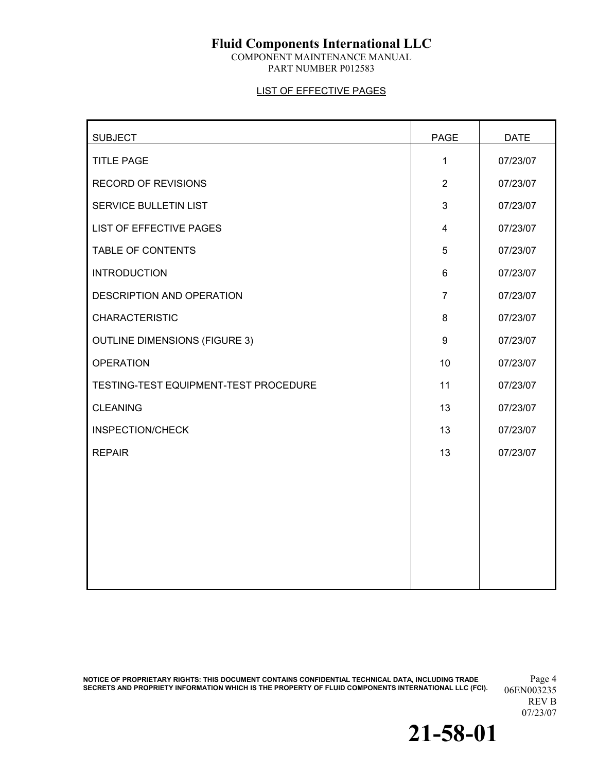COMPONENT MAINTENANCE MANUAL PART NUMBER P012583

#### LIST OF EFFECTIVE PAGES

| <b>SUBJECT</b>                        | <b>PAGE</b>    | <b>DATE</b> |
|---------------------------------------|----------------|-------------|
| <b>TITLE PAGE</b>                     | 1              | 07/23/07    |
| <b>RECORD OF REVISIONS</b>            | $\overline{2}$ | 07/23/07    |
| <b>SERVICE BULLETIN LIST</b>          | 3              | 07/23/07    |
| <b>LIST OF EFFECTIVE PAGES</b>        | $\overline{4}$ | 07/23/07    |
| TABLE OF CONTENTS                     | 5              | 07/23/07    |
| <b>INTRODUCTION</b>                   | 6              | 07/23/07    |
| DESCRIPTION AND OPERATION             | $\overline{7}$ | 07/23/07    |
| <b>CHARACTERISTIC</b>                 | 8              | 07/23/07    |
| <b>OUTLINE DIMENSIONS (FIGURE 3)</b>  | 9              | 07/23/07    |
| <b>OPERATION</b>                      | 10             | 07/23/07    |
| TESTING-TEST EQUIPMENT-TEST PROCEDURE | 11             | 07/23/07    |
| <b>CLEANING</b>                       | 13             | 07/23/07    |
| <b>INSPECTION/CHECK</b>               | 13             | 07/23/07    |
| <b>REPAIR</b>                         | 13             | 07/23/07    |
|                                       |                |             |
|                                       |                |             |
|                                       |                |             |
|                                       |                |             |
|                                       |                |             |
|                                       |                |             |

**NOTICE OF PROPRIETARY RIGHTS: THIS DOCUMENT CONTAINS CONFIDENTIAL TECHNICAL DATA, INCLUDING TRADE** Page 4 SECRETS AND PROPRIETY INFORMATION WHICH IS THE PROPERTY OF FLUID COMPONENTS INTERNATIONAL LLC (FCI). 06EN003235

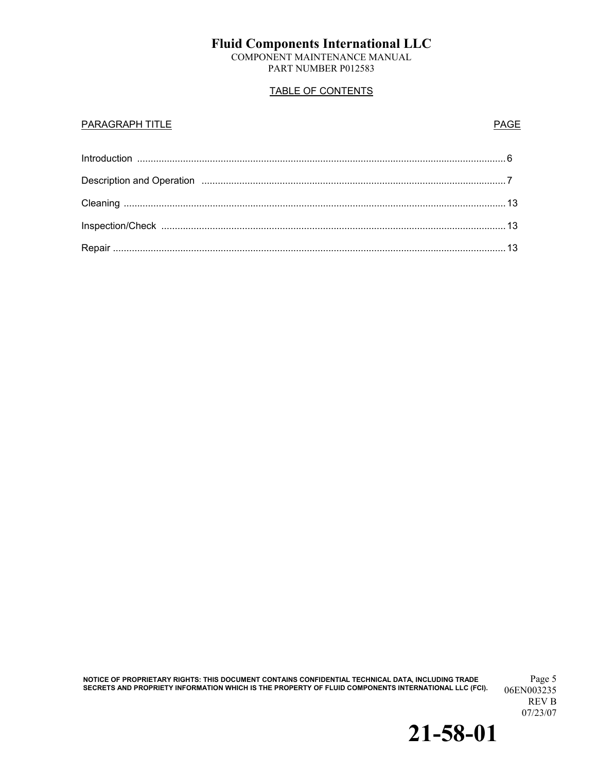COMPONENT MAINTENANCE MANUAL PART NUMBER P012583

### TABLE OF CONTENTS

#### **PARAGRAPH TITLE** PARAGRAPH TITLE

**NOTICE OF PROPRIETARY RIGHTS: THIS DOCUMENT CONTAINS CONFIDENTIAL TECHNICAL DATA, INCLUDING TRADE** Page 5 **SECRETS AND PROPRIETY INFORMATION WHICH IS THE PROPERTY OF FLUID COMPONENTS INTERNATIONAL LLC (FCI).** 

06EN003235 REV B 07/23/07

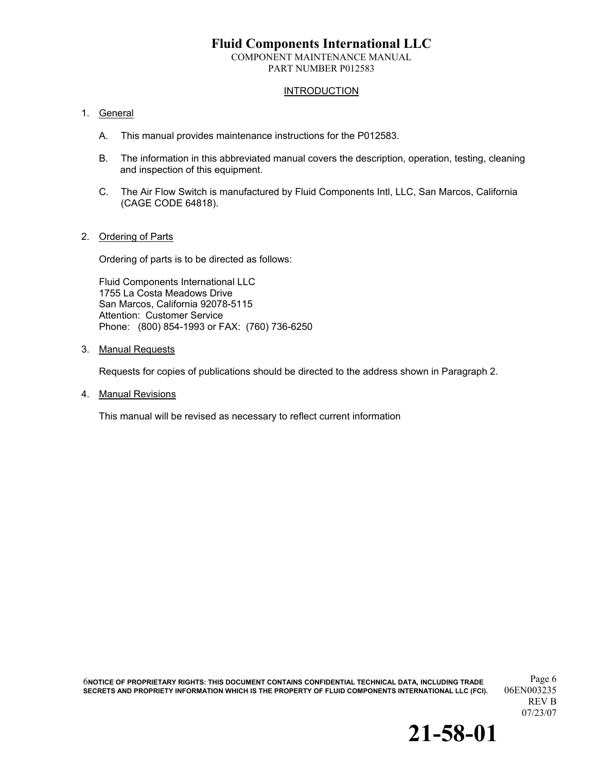COMPONENT MAINTENANCE MANUAL PART NUMBER P012583

#### **INTRODUCTION**

#### 1. General

- A. This manual provides maintenance instructions for the P012583.
- B. The information in this abbreviated manual covers the description, operation, testing, cleaning and inspection of this equipment.
- C. The Air Flow Switch is manufactured by Fluid Components Intl, LLC, San Marcos, California (CAGE CODE 64818).

#### 2. Ordering of Parts

Ordering of parts is to be directed as follows:

Fluid Components International LLC 1755 La Costa Meadows Drive San Marcos, California 92078-5115 Attention: Customer Service Phone: (800) 854-1993 or FAX: (760) 736-6250

3. Manual Requests

Requests for copies of publications should be directed to the address shown in Paragraph 2.

4. Manual Revisions

This manual will be revised as necessary to reflect current information

Page 6 6**NOTICE OF PROPRIETARY RIGHTS: THIS DOCUMENT CONTAINS CONFIDENTIAL TECHNICAL DATA, INCLUDING TRADE SECRETS AND PROPRIETY INFORMATION WHICH IS THE PROPERTY OF FLUID COMPONENTS INTERNATIONAL LLC (FCI).** 

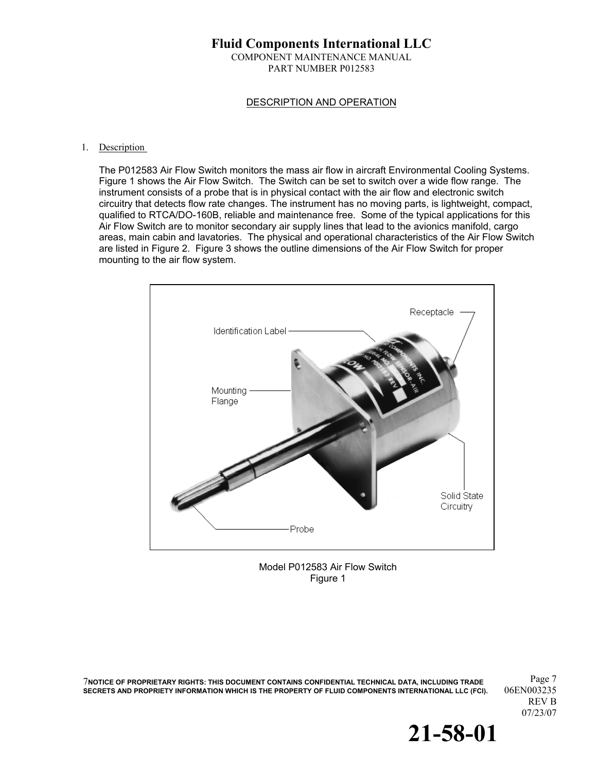#### **Fluid Components International LLC**  COMPONENT MAINTENANCE MANUAL PART NUMBER P012583

#### DESCRIPTION AND OPERATION

#### 1. Description

The P012583 Air Flow Switch monitors the mass air flow in aircraft Environmental Cooling Systems. Figure 1 shows the Air Flow Switch. The Switch can be set to switch over a wide flow range. The instrument consists of a probe that is in physical contact with the air flow and electronic switch circuitry that detects flow rate changes. The instrument has no moving parts, is lightweight, compact, qualified to RTCA/DO-160B, reliable and maintenance free. Some of the typical applications for this Air Flow Switch are to monitor secondary air supply lines that lead to the avionics manifold, cargo areas, main cabin and lavatories. The physical and operational characteristics of the Air Flow Switch are listed in Figure 2. Figure 3 shows the outline dimensions of the Air Flow Switch for proper mounting to the air flow system.





Page 7 7**NOTICE OF PROPRIETARY RIGHTS: THIS DOCUMENT CONTAINS CONFIDENTIAL TECHNICAL DATA, INCLUDING TRADE SECRETS AND PROPRIETY INFORMATION WHICH IS THE PROPERTY OF FLUID COMPONENTS INTERNATIONAL LLC (FCI).** 

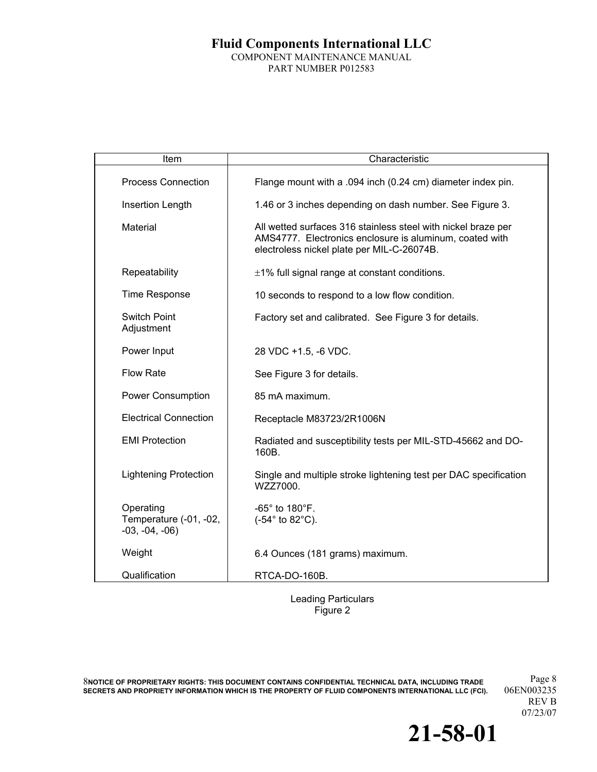### **Fluid Components International LLC**  COMPONENT MAINTENANCE MANUAL PART NUMBER P012583

| Item                                                   | Characteristic                                                                                                                                                         |
|--------------------------------------------------------|------------------------------------------------------------------------------------------------------------------------------------------------------------------------|
| <b>Process Connection</b>                              | Flange mount with a .094 inch (0.24 cm) diameter index pin.                                                                                                            |
| Insertion Length                                       | 1.46 or 3 inches depending on dash number. See Figure 3.                                                                                                               |
| Material                                               | All wetted surfaces 316 stainless steel with nickel braze per<br>AMS4777. Electronics enclosure is aluminum, coated with<br>electroless nickel plate per MIL-C-26074B. |
| Repeatability                                          | $\pm$ 1% full signal range at constant conditions.                                                                                                                     |
| <b>Time Response</b>                                   | 10 seconds to respond to a low flow condition.                                                                                                                         |
| <b>Switch Point</b><br>Adjustment                      | Factory set and calibrated. See Figure 3 for details.                                                                                                                  |
| Power Input                                            | 28 VDC +1.5, -6 VDC.                                                                                                                                                   |
| <b>Flow Rate</b>                                       | See Figure 3 for details.                                                                                                                                              |
| <b>Power Consumption</b>                               | 85 mA maximum.                                                                                                                                                         |
| <b>Electrical Connection</b>                           | Receptacle M83723/2R1006N                                                                                                                                              |
| <b>EMI Protection</b>                                  | Radiated and susceptibility tests per MIL-STD-45662 and DO-<br>160B.                                                                                                   |
| <b>Lightening Protection</b>                           | Single and multiple stroke lightening test per DAC specification<br>WZZ7000.                                                                                           |
| Operating<br>Temperature (-01, -02,<br>$-03, -04, -06$ | $-65^\circ$ to 180 $^\circ$ F.<br>(-54° to 82°C).                                                                                                                      |
| Weight                                                 | 6.4 Ounces (181 grams) maximum.                                                                                                                                        |
| Qualification                                          | RTCA-DO-160B.                                                                                                                                                          |

Leading Particulars Figure 2

Page 8 8**NOTICE OF PROPRIETARY RIGHTS: THIS DOCUMENT CONTAINS CONFIDENTIAL TECHNICAL DATA, INCLUDING TRADE**  SECRETS AND PROPRIETY INFORMATION WHICH IS THE PROPERTY OF FLUID COMPONENTS INTERNATIONAL LLC (FCI).

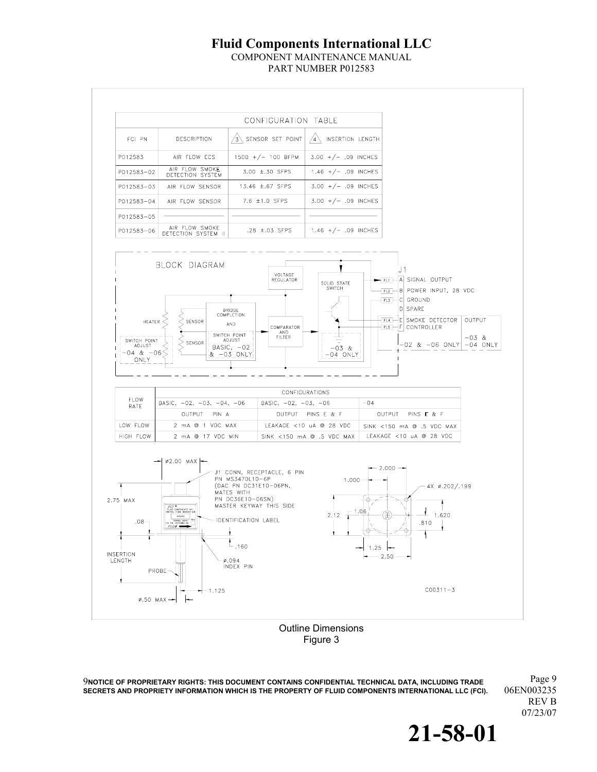COMPONENT MAINTENANCE MANUAL PART NUMBER P012583



Figure 3

Page 9 9**NOTICE OF PROPRIETARY RIGHTS: THIS DOCUMENT CONTAINS CONFIDENTIAL TECHNICAL DATA, INCLUDING TRADE SECRETS AND PROPRIETY INFORMATION WHICH IS THE PROPERTY OF FLUID COMPONENTS INTERNATIONAL LLC (FCI).** 

REV B 07/23/07

**21-58-01**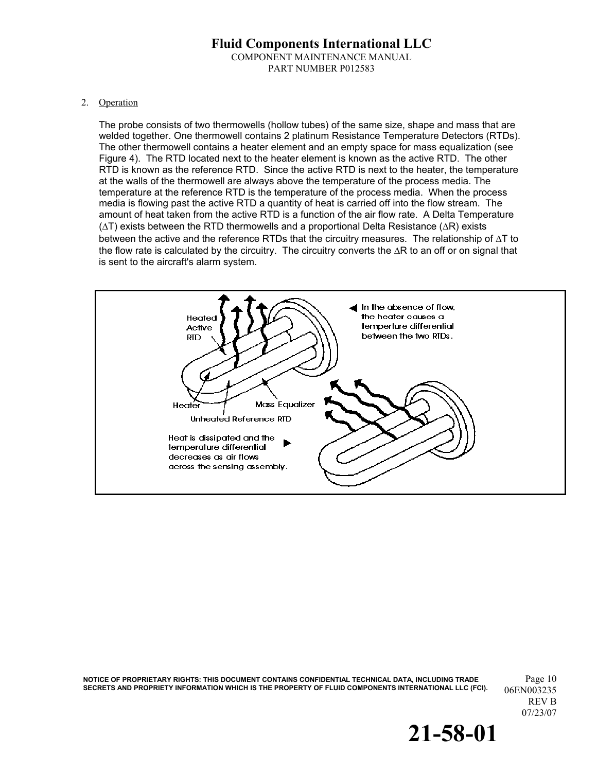#### **Fluid Components International LLC**  COMPONENT MAINTENANCE MANUAL PART NUMBER P012583

#### 2. Operation

The probe consists of two thermowells (hollow tubes) of the same size, shape and mass that are welded together. One thermowell contains 2 platinum Resistance Temperature Detectors (RTDs). The other thermowell contains a heater element and an empty space for mass equalization (see Figure 4). The RTD located next to the heater element is known as the active RTD. The other RTD is known as the reference RTD. Since the active RTD is next to the heater, the temperature at the walls of the thermowell are always above the temperature of the process media. The temperature at the reference RTD is the temperature of the process media. When the process media is flowing past the active RTD a quantity of heat is carried off into the flow stream. The amount of heat taken from the active RTD is a function of the air flow rate. A Delta Temperature (∆T) exists between the RTD thermowells and a proportional Delta Resistance (∆R) exists between the active and the reference RTDs that the circuitry measures. The relationship of ∆T to the flow rate is calculated by the circuitry. The circuitry converts the ∆R to an off or on signal that is sent to the aircraft's alarm system.



**NOTICE OF PROPRIETARY RIGHTS: THIS DOCUMENT CONTAINS CONFIDENTIAL TECHNICAL DATA, INCLUDING TRADE** Page 10 SECRETS AND PROPRIETY INFORMATION WHICH IS THE PROPERTY OF FLUID COMPONENTS INTERNATIONAL LLC (FCI). 06EN003235

![](_page_9_Picture_6.jpeg)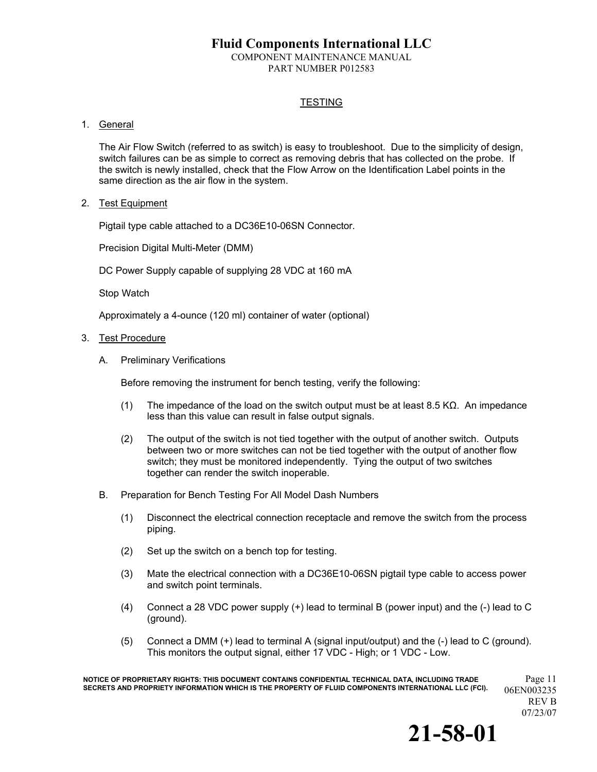COMPONENT MAINTENANCE MANUAL PART NUMBER P012583

#### **TESTING**

#### 1. General

The Air Flow Switch (referred to as switch) is easy to troubleshoot. Due to the simplicity of design, switch failures can be as simple to correct as removing debris that has collected on the probe. If the switch is newly installed, check that the Flow Arrow on the Identification Label points in the same direction as the air flow in the system.

2. Test Equipment

Pigtail type cable attached to a DC36E10-06SN Connector.

Precision Digital Multi-Meter (DMM)

DC Power Supply capable of supplying 28 VDC at 160 mA

Stop Watch

Approximately a 4-ounce (120 ml) container of water (optional)

- 3. Test Procedure
	- A. Preliminary Verifications

Before removing the instrument for bench testing, verify the following:

- (1) The impedance of the load on the switch output must be at least 8.5 K $\Omega$ . An impedance less than this value can result in false output signals.
- (2) The output of the switch is not tied together with the output of another switch. Outputs between two or more switches can not be tied together with the output of another flow switch; they must be monitored independently. Tying the output of two switches together can render the switch inoperable.
- B. Preparation for Bench Testing For All Model Dash Numbers
	- (1) Disconnect the electrical connection receptacle and remove the switch from the process piping.
	- (2) Set up the switch on a bench top for testing.
	- (3) Mate the electrical connection with a DC36E10-06SN pigtail type cable to access power and switch point terminals.
	- (4) Connect a 28 VDC power supply (+) lead to terminal B (power input) and the (-) lead to C (ground).
	- (5) Connect a DMM (+) lead to terminal A (signal input/output) and the (-) lead to C (ground). This monitors the output signal, either 17 VDC - High; or 1 VDC - Low.

**NOTICE OF PROPRIETARY RIGHTS: THIS DOCUMENT CONTAINS CONFIDENTIAL TECHNICAL DATA, INCLUDING TRADE** Page 11 SECRETS AND PROPRIETY INFORMATION WHICH IS THE PROPERTY OF FLUID COMPONENTS INTERNATIONAL LLC (FCI). 06EN003235

![](_page_10_Picture_24.jpeg)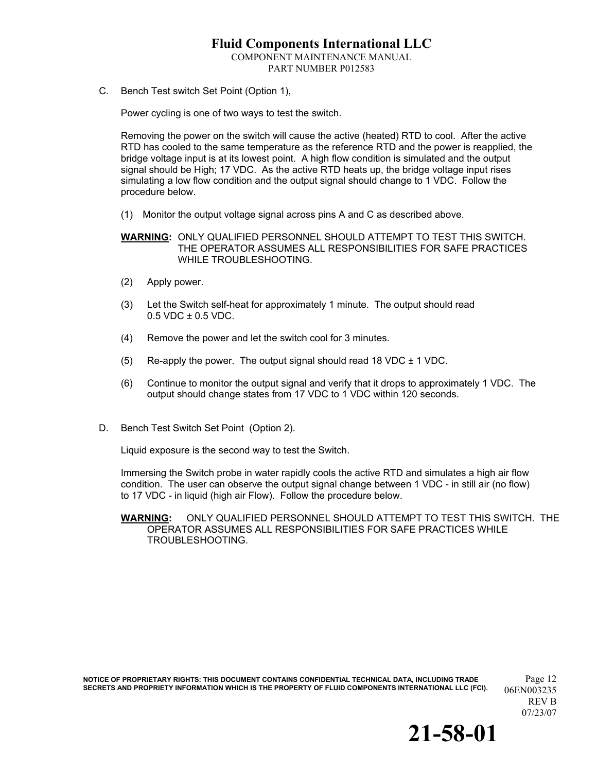COMPONENT MAINTENANCE MANUAL PART NUMBER P012583

C. Bench Test switch Set Point (Option 1),

Power cycling is one of two ways to test the switch.

Removing the power on the switch will cause the active (heated) RTD to cool. After the active RTD has cooled to the same temperature as the reference RTD and the power is reapplied, the bridge voltage input is at its lowest point. A high flow condition is simulated and the output signal should be High; 17 VDC. As the active RTD heats up, the bridge voltage input rises simulating a low flow condition and the output signal should change to 1 VDC. Follow the procedure below.

(1) Monitor the output voltage signal across pins A and C as described above.

**WARNING:** ONLY QUALIFIED PERSONNEL SHOULD ATTEMPT TO TEST THIS SWITCH. THE OPERATOR ASSUMES ALL RESPONSIBILITIES FOR SAFE PRACTICES WHILE TROUBLESHOOTING.

- (2) Apply power.
- (3) Let the Switch self-heat for approximately 1 minute. The output should read 0.5 VDC ± 0.5 VDC.
- (4) Remove the power and let the switch cool for 3 minutes.
- (5) Re-apply the power. The output signal should read 18 VDC  $\pm$  1 VDC.
- (6) Continue to monitor the output signal and verify that it drops to approximately 1 VDC. The output should change states from 17 VDC to 1 VDC within 120 seconds.
- D. Bench Test Switch Set Point (Option 2).

Liquid exposure is the second way to test the Switch.

Immersing the Switch probe in water rapidly cools the active RTD and simulates a high air flow condition. The user can observe the output signal change between 1 VDC - in still air (no flow) to 17 VDC - in liquid (high air Flow). Follow the procedure below.

**WARNING:** ONLY QUALIFIED PERSONNEL SHOULD ATTEMPT TO TEST THIS SWITCH. THE OPERATOR ASSUMES ALL RESPONSIBILITIES FOR SAFE PRACTICES WHILE TROUBLESHOOTING.

**NOTICE OF PROPRIETARY RIGHTS: THIS DOCUMENT CONTAINS CONFIDENTIAL TECHNICAL DATA, INCLUDING TRADE** Page 12 SECRETS AND PROPRIETY INFORMATION WHICH IS THE PROPERTY OF FLUID COMPONENTS INTERNATIONAL LLC (FCI). 06EN003235

![](_page_11_Picture_18.jpeg)